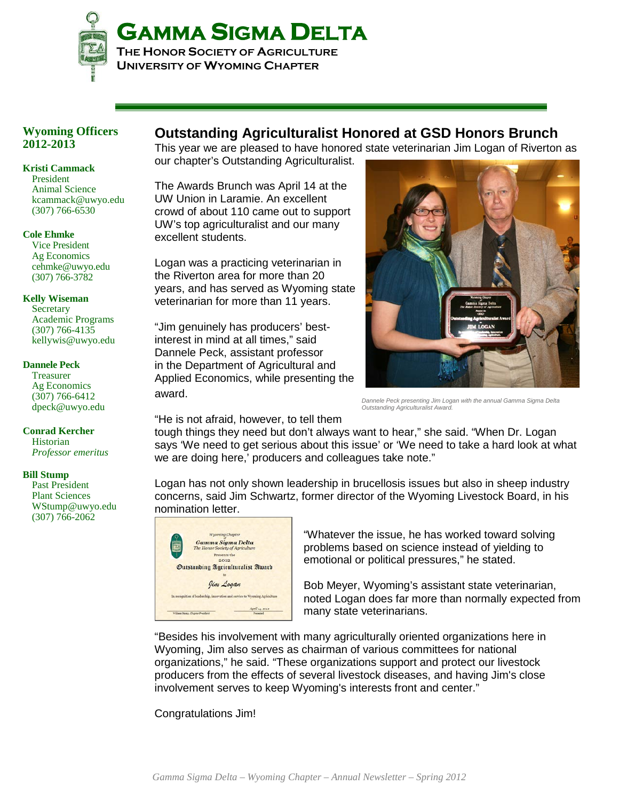

### **Wyoming Officers 2012-2013**

### **Kristi Cammack**

President Animal Science kcammack@uwyo.edu (307) 766-6530

### **Cole Ehmke**

Vice President Ag Economics cehmke@uwyo.edu (307) 766-3782

### **Kelly Wiseman**

**Secretary** Academic Programs (307) 766-4135 kellywis@uwyo.edu

### **Dannele Peck**

Treasurer Ag Economics (307) 766-6412 dpeck@uwyo.edu

### **Conrad Kercher**

**Historian** *Professor emeritus*

### **Bill Stump**

Past President Plant Sciences WStump@uwyo.edu (307) 766-2062

### **Outstanding Agriculturalist Honored at GSD Honors Brunch**

This year we are pleased to have honored state veterinarian Jim Logan of Riverton as our chapter's Outstanding Agriculturalist.

The Awards Brunch was April 14 at the UW Union in Laramie. An excellent crowd of about 110 came out to support UW's top agriculturalist and our many excellent students.

Logan was a practicing veterinarian in the Riverton area for more than 20 years, and has served as Wyoming state veterinarian for more than 11 years.

"Jim genuinely has producers' bestinterest in mind at all times," said Dannele Peck, assistant professor in the Department of Agricultural and Applied Economics, while presenting the award.



*Outstanding Agriculturalist Award.*

"He is not afraid, however, to tell them

tough things they need but don't always want to hear," she said. "When Dr. Logan says 'We need to get serious about this issue' or 'We need to take a hard look at what we are doing here,' producers and colleagues take note."

Logan has not only shown leadership in brucellosis issues but also in sheep industry concerns, said Jim Schwartz, former director of the Wyoming Livestock Board, in his nomination letter.



"Whatever the issue, he has worked toward solving problems based on science instead of yielding to emotional or political pressures," he stated.

Bob Meyer, Wyoming's assistant state veterinarian, noted Logan does far more than normally expected from many state veterinarians.

"Besides his involvement with many agriculturally oriented organizations here in Wyoming, Jim also serves as chairman of various committees for national organizations," he said. "These organizations support and protect our livestock producers from the effects of several livestock diseases, and having Jim's close involvement serves to keep Wyoming's interests front and center."

Congratulations Jim!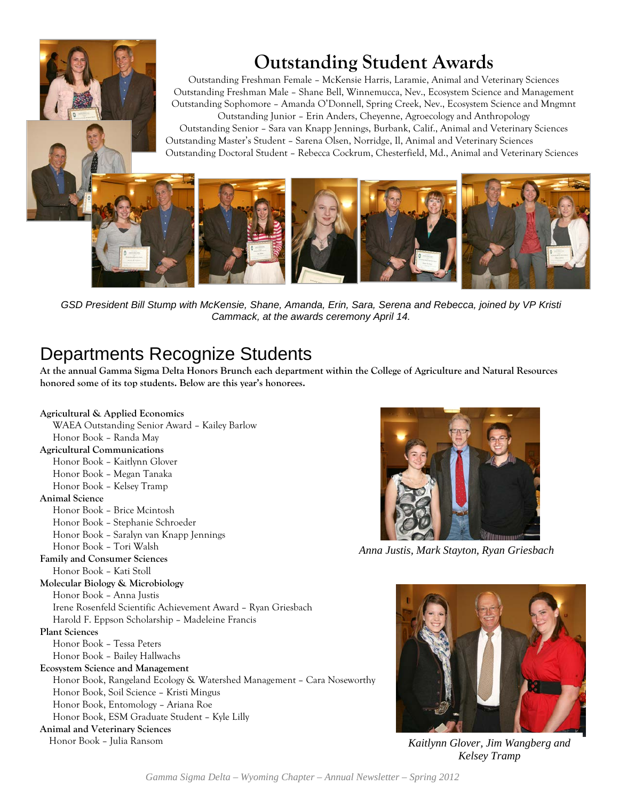# **Outstanding Student Awards**

Outstanding Freshman Female – McKensie Harris, Laramie, Animal and Veterinary Sciences Outstanding Freshman Male – Shane Bell, Winnemucca, Nev., Ecosystem Science and Management Outstanding Sophomore – Amanda O'Donnell, Spring Creek, Nev., Ecosystem Science and Mngmnt Outstanding Junior – Erin Anders, Cheyenne, Agroecology and Anthropology Outstanding Senior – Sara van Knapp Jennings, Burbank, Calif., Animal and Veterinary Sciences

Outstanding Master's Student – Sarena Olsen, Norridge, Il, Animal and Veterinary Sciences Outstanding Doctoral Student – Rebecca Cockrum, Chesterfield, Md., Animal and Veterinary Sciences



*GSD President Bill Stump with McKensie, Shane, Amanda, Erin, Sara, Serena and Rebecca, joined by VP Kristi Cammack, at the awards ceremony April 14.*

### Departments Recognize Students

**At the annual Gamma Sigma Delta Honors Brunch each department within the College of Agriculture and Natural Resources honored some of its top students. Below are this year's honorees.** 

### **Agricultural & Applied Economics**





*Anna Justis, Mark Stayton, Ryan Griesbach*



*Kaitlynn Glover, Jim Wangberg and Kelsey Tramp*